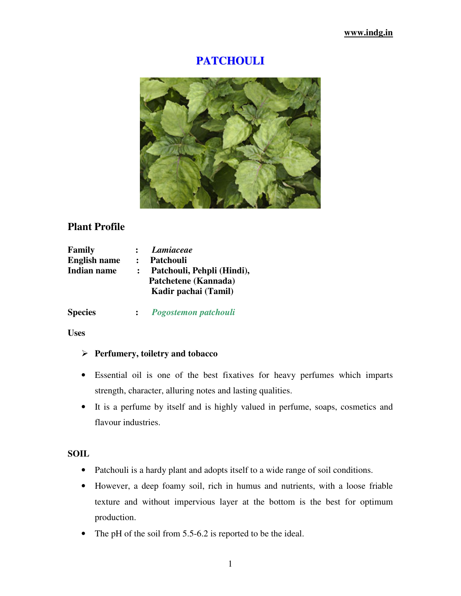# **PATCHOULI**



# **Plant Profile**

| <b>Family</b>       |                | <b>Lamiaceae</b>           |
|---------------------|----------------|----------------------------|
| <b>English name</b> | $\ddot{\cdot}$ | Patchouli                  |
| <b>Indian name</b>  |                | Patchouli, Pehpli (Hindi), |
|                     |                | Patchetene (Kannada)       |
|                     |                | Kadir pachai (Tamil)       |
|                     |                |                            |

**Species :** *Pogostemon patchouli*

**Uses** 

### **Perfumery, toiletry and tobacco**

- Essential oil is one of the best fixatives for heavy perfumes which imparts strength, character, alluring notes and lasting qualities.
- It is a perfume by itself and is highly valued in perfume, soaps, cosmetics and flavour industries.

#### **SOIL**

- Patchouli is a hardy plant and adopts itself to a wide range of soil conditions.
- However, a deep foamy soil, rich in humus and nutrients, with a loose friable texture and without impervious layer at the bottom is the best for optimum production.
- The pH of the soil from 5.5-6.2 is reported to be the ideal.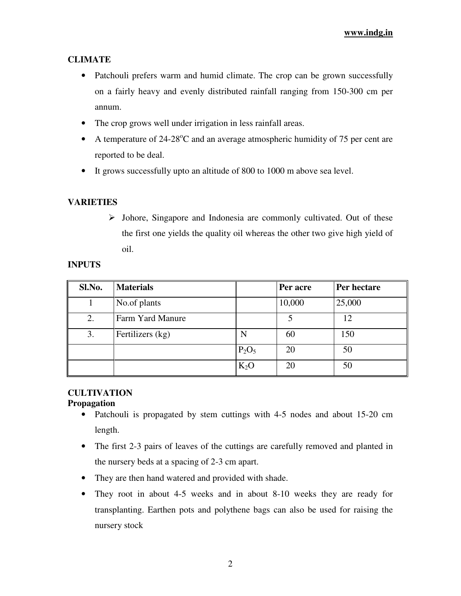## **CLIMATE**

- Patchouli prefers warm and humid climate. The crop can be grown successfully on a fairly heavy and evenly distributed rainfall ranging from 150-300 cm per annum.
- The crop grows well under irrigation in less rainfall areas.
- A temperature of  $24{\text -}28^{\circ}\text{C}$  and an average atmospheric humidity of 75 per cent are reported to be deal.
- It grows successfully upto an altitude of 800 to 1000 m above sea level.

## **VARIETIES**

 $\triangleright$  Johore, Singapore and Indonesia are commonly cultivated. Out of these the first one yields the quality oil whereas the other two give high yield of oil.

#### **INPUTS**

| Sl.No. | <b>Materials</b> |          | Per acre | Per hectare |
|--------|------------------|----------|----------|-------------|
|        | No.of plants     |          | 10,000   | 25,000      |
| 2.     | Farm Yard Manure |          |          | 12          |
| 3.     | Fertilizers (kg) | N        | 60       | 150         |
|        |                  | $P_2O_5$ | 20       | 50          |
|        |                  | $K_2O$   | 20       | 50          |

# **CULTIVATION**

### **Propagation**

- Patchouli is propagated by stem cuttings with 4-5 nodes and about 15-20 cm length.
- The first 2-3 pairs of leaves of the cuttings are carefully removed and planted in the nursery beds at a spacing of 2-3 cm apart.
- They are then hand watered and provided with shade.
- They root in about 4-5 weeks and in about 8-10 weeks they are ready for transplanting. Earthen pots and polythene bags can also be used for raising the nursery stock